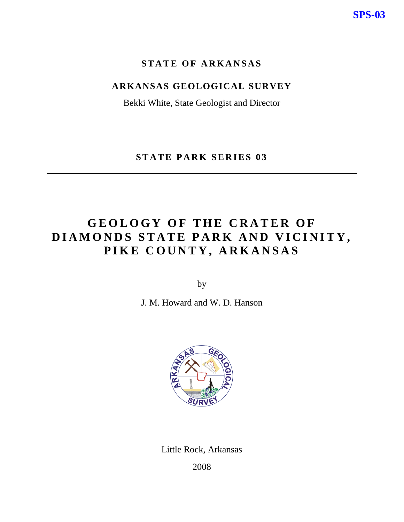# **STATE OF ARKANSAS**

# **ARKANSAS GEOLOGICAL SURVEY**

Bekki White, State Geologist and Director

**STATE PARK SERIES 03** 

# **GEOLOGY OF THE CRATER OF DIAMONDS STATE PARK AND VICINITY, PIKE COUNTY, ARKANSAS**

by

J. M. Howard and W. D. Hanson



Little Rock, Arkansas

2008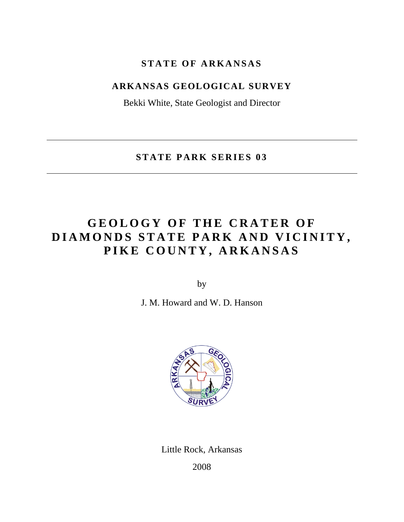# **STATE OF ARKANSAS**

# **ARKANSAS GEOLOGICAL SURVEY**

Bekki White, State Geologist and Director

**STATE PARK SERIES 03** 

# **GEOLOGY OF THE CRATER OF DIAMONDS STATE PARK AND VICINITY, PIKE COUNTY, ARKANSAS**

by

J. M. Howard and W. D. Hanson



Little Rock, Arkansas

2008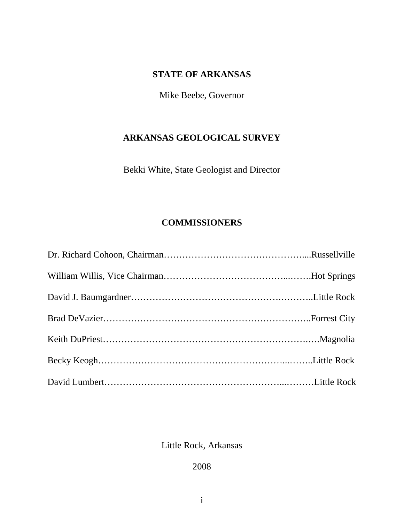# **STATE OF ARKANSAS**

Mike Beebe, Governor

## **ARKANSAS GEOLOGICAL SURVEY**

Bekki White, State Geologist and Director

# **COMMISSIONERS**

Little Rock, Arkansas

2008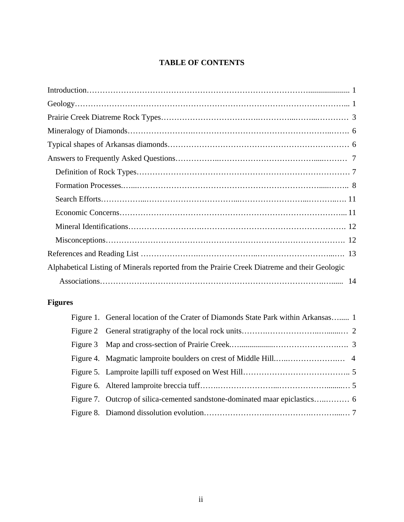### **TABLE OF CONTENTS**

# **Figures**

| Figure 1. General location of the Crater of Diamonds State Park within Arkansas 1 |  |
|-----------------------------------------------------------------------------------|--|
|                                                                                   |  |
|                                                                                   |  |
|                                                                                   |  |
|                                                                                   |  |
|                                                                                   |  |
|                                                                                   |  |
|                                                                                   |  |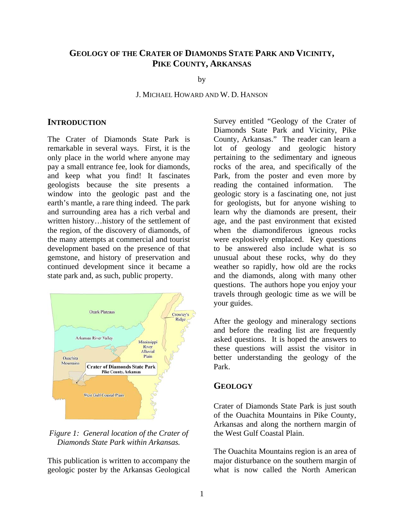## **GEOLOGY OF THE CRATER OF DIAMONDS STATE PARK AND VICINITY, PIKE COUNTY, ARKANSAS**

by

#### J. MICHAEL HOWARD AND W. D. HANSON

#### **INTRODUCTION**

The Crater of Diamonds State Park is remarkable in several ways. First, it is the only place in the world where anyone may pay a small entrance fee, look for diamonds, and keep what you find! It fascinates geologists because the site presents a window into the geologic past and the earth's mantle, a rare thing indeed. The park and surrounding area has a rich verbal and written history…history of the settlement of the region, of the discovery of diamonds, of the many attempts at commercial and tourist development based on the presence of that gemstone, and history of preservation and continued development since it became a state park and, as such, public property.



#### *Figure 1: General location of the Crater of Diamonds State Park within Arkansas.*

This publication is written to accompany the geologic poster by the Arkansas Geological Survey entitled "Geology of the Crater of Diamonds State Park and Vicinity, Pike County, Arkansas." The reader can learn a lot of geology and geologic history pertaining to the sedimentary and igneous rocks of the area, and specifically of the Park, from the poster and even more by reading the contained information. The geologic story is a fascinating one, not just for geologists, but for anyone wishing to learn why the diamonds are present, their age, and the past environment that existed when the diamondiferous igneous rocks were explosively emplaced. Key questions to be answered also include what is so unusual about these rocks, why do they weather so rapidly, how old are the rocks and the diamonds, along with many other questions. The authors hope you enjoy your travels through geologic time as we will be your guides.

After the geology and mineralogy sections and before the reading list are frequently asked questions. It is hoped the answers to these questions will assist the visitor in better understanding the geology of the Park.

#### **GEOLOGY**

Crater of Diamonds State Park is just south of the Ouachita Mountains in Pike County, Arkansas and along the northern margin of the West Gulf Coastal Plain.

The Ouachita Mountains region is an area of major disturbance on the southern margin of what is now called the North American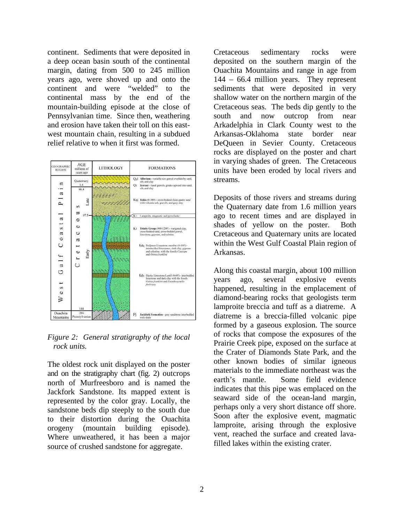continent. Sediments that were deposited in a deep ocean basin south of the continental margin, dating from 500 to 245 million years ago, were shoved up and onto the continent and were "welded" to the continental mass by the end of the mountain-building episode at the close of Pennsylvanian time. Since then, weathering and erosion have taken their toll on this eastwest mountain chain, resulting in a subdued relief relative to when it first was formed.



*Figure 2: General stratigraphy of the local rock units.* 

The oldest rock unit displayed on the poster and on the stratigraphy chart (fig. 2) outcrops north of Murfreesboro and is named the Jackfork Sandstone. Its mapped extent is represented by the color gray. Locally, the sandstone beds dip steeply to the south due to their distortion during the Ouachita orogeny (mountain building episode). Where unweathered, it has been a major source of crushed sandstone for aggregate.

Cretaceous sedimentary rocks were deposited on the southern margin of the Ouachita Mountains and range in age from 144 – 66.4 million years. They represent sediments that were deposited in very shallow water on the northern margin of the Cretaceous seas. The beds dip gently to the south and now outcrop from near Arkadelphia in Clark County west to the Arkansas-Oklahoma state border near DeQueen in Sevier County. Cretaceous rocks are displayed on the poster and chart in varying shades of green. The Cretaceous units have been eroded by local rivers and streams.

Deposits of those rivers and streams during the Quaternary date from 1.6 million years ago to recent times and are displayed in shades of yellow on the poster. Both Cretaceous and Quaternary units are located within the West Gulf Coastal Plain region of Arkansas.

Along this coastal margin, about 100 million years ago, several explosive events happened, resulting in the emplacement of diamond-bearing rocks that geologists term lamproite breccia and tuff as a diatreme. A diatreme is a breccia-filled volcanic pipe formed by a gaseous explosion. The source of rocks that compose the exposures of the Prairie Creek pipe, exposed on the surface at the Crater of Diamonds State Park, and the other known bodies of similar igneous materials to the immediate northeast was the earth's mantle. Some field evidence indicates that this pipe was emplaced on the seaward side of the ocean-land margin, perhaps only a very short distance off shore. Soon after the explosive event, magmatic lamproite, arising through the explosive vent, reached the surface and created lavafilled lakes within the existing crater.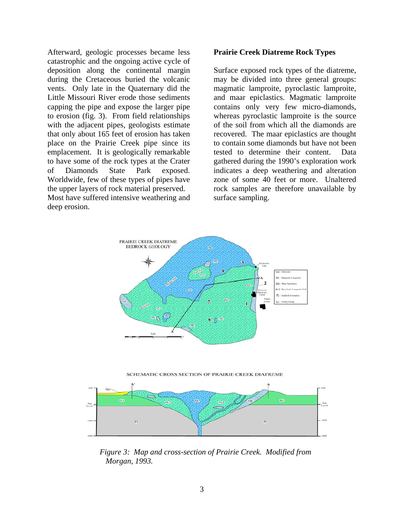Afterward, geologic processes became less catastrophic and the ongoing active cycle of deposition along the continental margin during the Cretaceous buried the volcanic vents. Only late in the Quaternary did the Little Missouri River erode those sediments capping the pipe and expose the larger pipe to erosion (fig. 3). From field relationships with the adjacent pipes, geologists estimate that only about 165 feet of erosion has taken place on the Prairie Creek pipe since its emplacement. It is geologically remarkable to have some of the rock types at the Crater of Diamonds State Park exposed. Worldwide, few of these types of pipes have the upper layers of rock material preserved. Most have suffered intensive weathering and deep erosion.

#### **Prairie Creek Diatreme Rock Types**

Surface exposed rock types of the diatreme, may be divided into three general groups: magmatic lamproite, pyroclastic lamproite, and maar epiclastics. Magmatic lamproite contains only very few micro-diamonds, whereas pyroclastic lamproite is the source of the soil from which all the diamonds are recovered. The maar epiclastics are thought to contain some diamonds but have not been tested to determine their content. Data gathered during the 1990's exploration work indicates a deep weathering and alteration zone of some 40 feet or more. Unaltered rock samples are therefore unavailable by surface sampling.



SCHEMATIC CROSS SECTION OF PRAIRIE CREEK DIATREME



*Figure 3: Map and cross-section of Prairie Creek. Modified from Morgan, 1993.*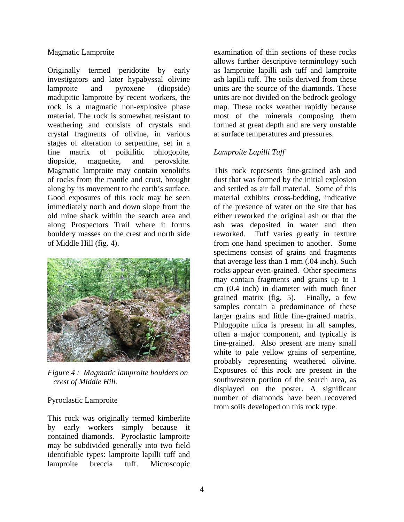#### Magmatic Lamproite

Originally termed peridotite by early investigators and later hypabyssal olivine lamproite and pyroxene (diopside) madupitic lamproite by recent workers, the rock is a magmatic non-explosive phase material. The rock is somewhat resistant to weathering and consists of crystals and crystal fragments of olivine, in various stages of alteration to serpentine, set in a fine matrix of poikilitic phlogopite, diopside, magnetite, and perovskite. Magmatic lamproite may contain xenoliths of rocks from the mantle and crust, brought along by its movement to the earth's surface. Good exposures of this rock may be seen immediately north and down slope from the old mine shack within the search area and along Prospectors Trail where it forms bouldery masses on the crest and north side of Middle Hill (fig. 4).



*Figure 4 : Magmatic lamproite boulders on crest of Middle Hill.* 

### Pyroclastic Lamproite

This rock was originally termed kimberlite by early workers simply because it contained diamonds. Pyroclastic lamproite may be subdivided generally into two field identifiable types: lamproite lapilli tuff and lamproite breccia tuff. Microscopic

examination of thin sections of these rocks allows further descriptive terminology such as lamproite lapilli ash tuff and lamproite ash lapilli tuff. The soils derived from these units are the source of the diamonds. These units are not divided on the bedrock geology map. These rocks weather rapidly because most of the minerals composing them formed at great depth and are very unstable at surface temperatures and pressures.

### *Lamproite Lapilli Tuff*

This rock represents fine-grained ash and dust that was formed by the initial explosion and settled as air fall material. Some of this material exhibits cross-bedding, indicative of the presence of water on the site that has either reworked the original ash or that the ash was deposited in water and then reworked. Tuff varies greatly in texture from one hand specimen to another. Some specimens consist of grains and fragments that average less than 1 mm (.04 inch). Such rocks appear even-grained. Other specimens may contain fragments and grains up to 1 cm (0.4 inch) in diameter with much finer grained matrix (fig. 5). Finally, a few samples contain a predominance of these larger grains and little fine-grained matrix. Phlogopite mica is present in all samples, often a major component, and typically is fine-grained. Also present are many small white to pale yellow grains of serpentine, probably representing weathered olivine. Exposures of this rock are present in the southwestern portion of the search area, as displayed on the poster. A significant number of diamonds have been recovered from soils developed on this rock type.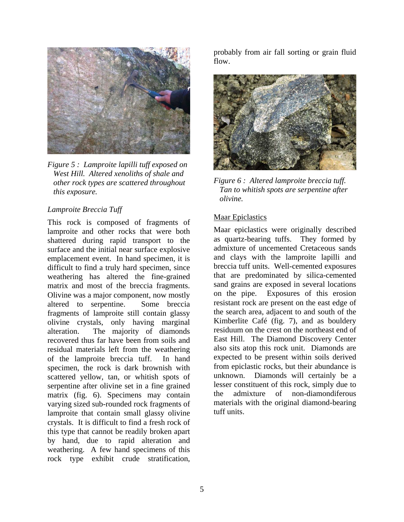

*Figure 5 : Lamproite lapilli tuff exposed on West Hill. Altered xenoliths of shale and other rock types are scattered throughout this exposure.* 

#### *Lamproite Breccia Tuff*

This rock is composed of fragments of lamproite and other rocks that were both shattered during rapid transport to the surface and the initial near surface explosive emplacement event. In hand specimen, it is difficult to find a truly hard specimen, since weathering has altered the fine-grained matrix and most of the breccia fragments. Olivine was a major component, now mostly altered to serpentine. Some breccia fragments of lamproite still contain glassy olivine crystals, only having marginal alteration. The majority of diamonds recovered thus far have been from soils and residual materials left from the weathering of the lamproite breccia tuff. In hand specimen, the rock is dark brownish with scattered yellow, tan, or whitish spots of serpentine after olivine set in a fine grained matrix (fig. 6). Specimens may contain varying sized sub-rounded rock fragments of lamproite that contain small glassy olivine crystals. It is difficult to find a fresh rock of this type that cannot be readily broken apart by hand, due to rapid alteration and weathering. A few hand specimens of this rock type exhibit crude stratification,

probably from air fall sorting or grain fluid flow.



*Figure 6 : Altered lamproite breccia tuff. Tan to whitish spots are serpentine after olivine.* 

#### Maar Epiclastics

Maar epiclastics were originally described as quartz-bearing tuffs. They formed by admixture of uncemented Cretaceous sands and clays with the lamproite lapilli and breccia tuff units. Well-cemented exposures that are predominated by silica-cemented sand grains are exposed in several locations on the pipe. Exposures of this erosion resistant rock are present on the east edge of the search area, adjacent to and south of the Kimberlite Café (fig. 7), and as bouldery residuum on the crest on the northeast end of East Hill. The Diamond Discovery Center also sits atop this rock unit. Diamonds are expected to be present within soils derived from epiclastic rocks, but their abundance is unknown. Diamonds will certainly be a lesser constituent of this rock, simply due to the admixture of non-diamondiferous materials with the original diamond-bearing tuff units.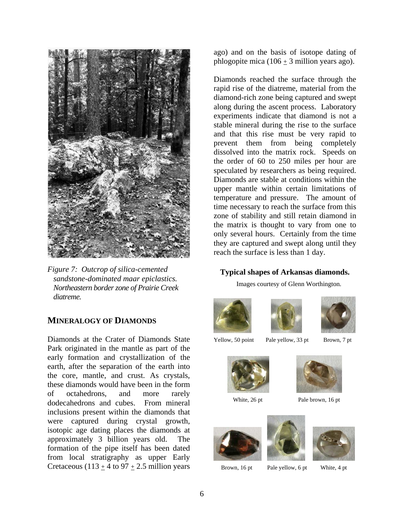

*Figure 7: Outcrop of silica-cemented sandstone-dominated maar epiclastics. Northeastern border zone of Prairie Creek diatreme.* 

### **MINERALOGY OF DIAMONDS**

Diamonds at the Crater of Diamonds State Park originated in the mantle as part of the early formation and crystallization of the earth, after the separation of the earth into the core, mantle, and crust. As crystals, these diamonds would have been in the form of octahedrons, and more rarely dodecahedrons and cubes. From mineral inclusions present within the diamonds that were captured during crystal growth, isotopic age dating places the diamonds at approximately 3 billion years old. The formation of the pipe itself has been dated from local stratigraphy as upper Early Cretaceous (113  $\pm$  4 to 97  $\pm$  2.5 million years

ago) and on the basis of isotope dating of phlogopite mica (106  $\pm$  3 million years ago).

Diamonds reached the surface through the rapid rise of the diatreme, material from the diamond-rich zone being captured and swept along during the ascent process. Laboratory experiments indicate that diamond is not a stable mineral during the rise to the surface and that this rise must be very rapid to prevent them from being completely dissolved into the matrix rock. Speeds on the order of 60 to 250 miles per hour are speculated by researchers as being required. Diamonds are stable at conditions within the upper mantle within certain limitations of temperature and pressure. The amount of time necessary to reach the surface from this zone of stability and still retain diamond in the matrix is thought to vary from one to only several hours. Certainly from the time they are captured and swept along until they reach the surface is less than 1 day.

#### **Typical shapes of Arkansas diamonds.**

Images courtesy of Glenn Worthington.







Yellow, 50 point Pale yellow, 33 pt Brown, 7 pt











Brown, 16 pt Pale yellow, 6 pt White, 4 pt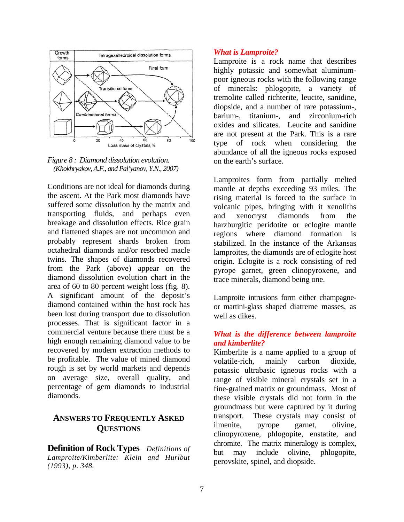



Conditions are not ideal for diamonds during the ascent. At the Park most diamonds have suffered some dissolution by the matrix and transporting fluids, and perhaps even breakage and dissolution effects. Rice grain and flattened shapes are not uncommon and probably represent shards broken from octahedral diamonds and/or resorbed macle twins. The shapes of diamonds recovered from the Park (above) appear on the diamond dissolution evolution chart in the area of 60 to 80 percent weight loss (fig. 8). A significant amount of the deposit's diamond contained within the host rock has been lost during transport due to dissolution processes. That is significant factor in a commercial venture because there must be a high enough remaining diamond value to be recovered by modern extraction methods to be profitable. The value of mined diamond rough is set by world markets and depends on average size, overall quality, and percentage of gem diamonds to industrial diamonds.

### **ANSWERS TO FREQUENTLY ASKED QUESTIONS**

**Definition of Rock Types** *Definitions of Lamproite/Kimberlite: Klein and Hurlbut (1993), p. 348.*

#### *What is Lamproite?*

Lamproite is a rock name that describes highly potassic and somewhat aluminumpoor igneous rocks with the following range of minerals: phlogopite, a variety of tremolite called richterite, leucite, sanidine, diopside, and a number of rare potassium-, barium-, titanium-, and zirconium-rich oxides and silicates. Leucite and sanidine are not present at the Park. This is a rare type of rock when considering the abundance of all the igneous rocks exposed on the earth's surface.

Lamproites form from partially melted mantle at depths exceeding 93 miles. The rising material is forced to the surface in volcanic pipes, bringing with it xenoliths and xenocryst diamonds from the harzburgitic peridotite or eclogite mantle regions where diamond formation is stabilized. In the instance of the Arkansas lamproites, the diamonds are of eclogite host origin. Eclogite is a rock consisting of red pyrope garnet, green clinopyroxene, and trace minerals, diamond being one.

Lamproite intrusions form either champagneor martini-glass shaped diatreme masses, as well as dikes.

### *What is the difference between lamproite and kimberlite?*

Kimberlite is a name applied to a group of volatile-rich, mainly carbon dioxide, potassic ultrabasic igneous rocks with a range of visible mineral crystals set in a fine-grained matrix or groundmass. Most of these visible crystals did not form in the groundmass but were captured by it during transport. These crystals may consist of ilmenite, pyrope garnet, olivine, clinopyroxene, phlogopite, enstatite, and chromite. The matrix mineralogy is complex, but may include olivine, phlogopite, perovskite, spinel, and diopside.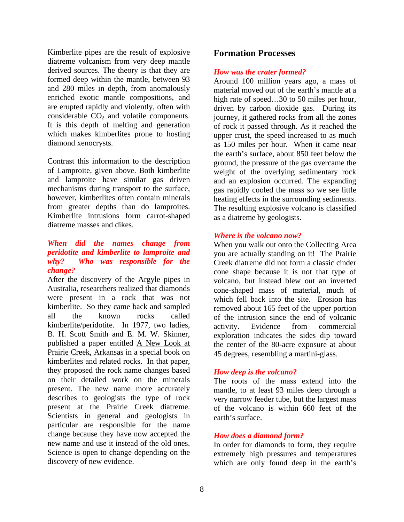Kimberlite pipes are the result of explosive diatreme volcanism from very deep mantle derived sources. The theory is that they are formed deep within the mantle, between 93 and 280 miles in depth, from anomalously enriched exotic mantle compositions, and are erupted rapidly and violently, often with considerable  $CO<sub>2</sub>$  and volatile components. It is this depth of melting and generation which makes kimberlites prone to hosting diamond xenocrysts.

Contrast this information to the description of Lamproite, given above. Both kimberlite and lamproite have similar gas driven mechanisms during transport to the surface, however, kimberlites often contain minerals from greater depths than do lamproites. Kimberlite intrusions form carrot-shaped diatreme masses and dikes.

#### *When did the names change from peridotite and kimberlite to lamproite and why? Who was responsible for the change?*

After the discovery of the Argyle pipes in Australia, researchers realized that diamonds were present in a rock that was not kimberlite. So they came back and sampled all the known rocks called kimberlite/peridotite. In 1977, two ladies, B. H. Scott Smith and E. M. W. Skinner, published a paper entitled A New Look at Prairie Creek, Arkansas in a special book on kimberlites and related rocks. In that paper, they proposed the rock name changes based on their detailed work on the minerals present. The new name more accurately describes to geologists the type of rock present at the Prairie Creek diatreme. Scientists in general and geologists in particular are responsible for the name change because they have now accepted the new name and use it instead of the old ones. Science is open to change depending on the discovery of new evidence.

### **Formation Processes**

#### *How was the crater formed?*

Around 100 million years ago, a mass of material moved out of the earth's mantle at a high rate of speed...30 to 50 miles per hour, driven by carbon dioxide gas. During its journey, it gathered rocks from all the zones of rock it passed through. As it reached the upper crust, the speed increased to as much as 150 miles per hour. When it came near the earth's surface, about 850 feet below the ground, the pressure of the gas overcame the weight of the overlying sedimentary rock and an explosion occurred. The expanding gas rapidly cooled the mass so we see little heating effects in the surrounding sediments. The resulting explosive volcano is classified as a diatreme by geologists.

#### *Where is the volcano now?*

When you walk out onto the Collecting Area you are actually standing on it! The Prairie Creek diatreme did not form a classic cinder cone shape because it is not that type of volcano, but instead blew out an inverted cone-shaped mass of material, much of which fell back into the site. Erosion has removed about 165 feet of the upper portion of the intrusion since the end of volcanic activity. Evidence from commercial exploration indicates the sides dip toward the center of the 80-acre exposure at about 45 degrees, resembling a martini-glass.

### *How deep is the volcano?*

The roots of the mass extend into the mantle, to at least 93 miles deep through a very narrow feeder tube, but the largest mass of the volcano is within 660 feet of the earth's surface.

#### *How does a diamond form?*

In order for diamonds to form, they require extremely high pressures and temperatures which are only found deep in the earth's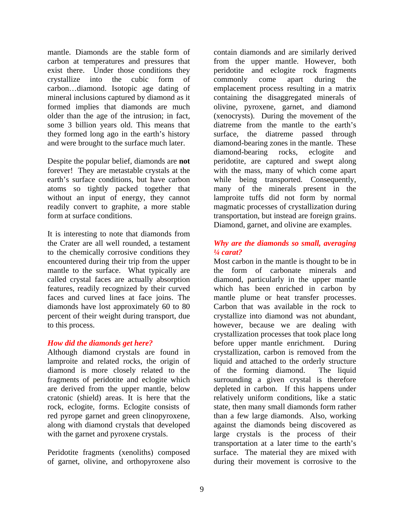mantle. Diamonds are the stable form of carbon at temperatures and pressures that exist there. Under those conditions they crystallize into the cubic form of carbon…diamond. Isotopic age dating of mineral inclusions captured by diamond as it formed implies that diamonds are much older than the age of the intrusion; in fact, some 3 billion years old. This means that they formed long ago in the earth's history and were brought to the surface much later.

Despite the popular belief, diamonds are **not**  forever! They are metastable crystals at the earth's surface conditions, but have carbon atoms so tightly packed together that without an input of energy, they cannot readily convert to graphite, a more stable form at surface conditions.

It is interesting to note that diamonds from the Crater are all well rounded, a testament to the chemically corrosive conditions they encountered during their trip from the upper mantle to the surface. What typically are called crystal faces are actually absorption features, readily recognized by their curved faces and curved lines at face joins. The diamonds have lost approximately 60 to 80 percent of their weight during transport, due to this process.

#### *How did the diamonds get here?*

Although diamond crystals are found in lamproite and related rocks, the origin of diamond is more closely related to the fragments of peridotite and eclogite which are derived from the upper mantle, below cratonic (shield) areas. It is here that the rock, eclogite, forms. Eclogite consists of red pyrope garnet and green clinopyroxene, along with diamond crystals that developed with the garnet and pyroxene crystals.

Peridotite fragments (xenoliths) composed of garnet, olivine, and orthopyroxene also

contain diamonds and are similarly derived from the upper mantle. However, both peridotite and eclogite rock fragments commonly come apart during the emplacement process resulting in a matrix containing the disaggregated minerals of olivine, pyroxene, garnet, and diamond (xenocrysts). During the movement of the diatreme from the mantle to the earth's surface, the diatreme passed through diamond-bearing zones in the mantle. These diamond-bearing rocks, eclogite and peridotite, are captured and swept along with the mass, many of which come apart while being transported. Consequently, many of the minerals present in the lamproite tuffs did not form by normal magmatic processes of crystallization during transportation, but instead are foreign grains. Diamond, garnet, and olivine are examples.

#### *Why are the diamonds so small, averaging ¼ carat?*

Most carbon in the mantle is thought to be in the form of carbonate minerals and diamond, particularly in the upper mantle which has been enriched in carbon by mantle plume or heat transfer processes. Carbon that was available in the rock to crystallize into diamond was not abundant, however, because we are dealing with crystallization processes that took place long before upper mantle enrichment. During crystallization, carbon is removed from the liquid and attached to the orderly structure of the forming diamond. The liquid surrounding a given crystal is therefore depleted in carbon. If this happens under relatively uniform conditions, like a static state, then many small diamonds form rather than a few large diamonds. Also, working against the diamonds being discovered as large crystals is the process of their transportation at a later time to the earth's surface. The material they are mixed with during their movement is corrosive to the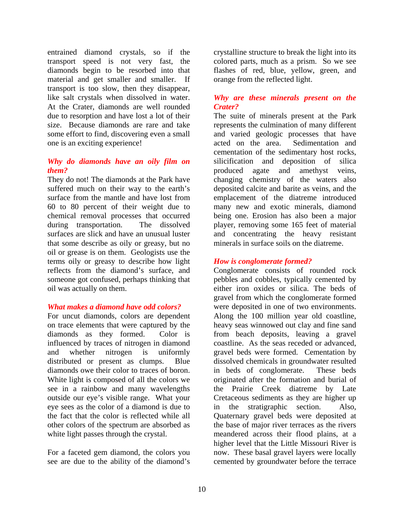entrained diamond crystals, so if the transport speed is not very fast, the diamonds begin to be resorbed into that material and get smaller and smaller. If transport is too slow, then they disappear, like salt crystals when dissolved in water. At the Crater, diamonds are well rounded due to resorption and have lost a lot of their size. Because diamonds are rare and take some effort to find, discovering even a small one is an exciting experience!

#### *Why do diamonds have an oily film on them?*

They do not! The diamonds at the Park have suffered much on their way to the earth's surface from the mantle and have lost from 60 to 80 percent of their weight due to chemical removal processes that occurred during transportation. The dissolved surfaces are slick and have an unusual luster that some describe as oily or greasy, but no oil or grease is on them. Geologists use the terms oily or greasy to describe how light reflects from the diamond's surface, and someone got confused, perhaps thinking that oil was actually on them.

#### *What makes a diamond have odd colors?*

For uncut diamonds, colors are dependent on trace elements that were captured by the diamonds as they formed. Color is influenced by traces of nitrogen in diamond and whether nitrogen is uniformly distributed or present as clumps. Blue diamonds owe their color to traces of boron. White light is composed of all the colors we see in a rainbow and many wavelengths outside our eye's visible range. What your eye sees as the color of a diamond is due to the fact that the color is reflected while all other colors of the spectrum are absorbed as white light passes through the crystal.

For a faceted gem diamond, the colors you see are due to the ability of the diamond's crystalline structure to break the light into its colored parts, much as a prism. So we see flashes of red, blue, yellow, green, and orange from the reflected light.

### *Why are these minerals present on the Crater?*

The suite of minerals present at the Park represents the culmination of many different and varied geologic processes that have acted on the area. Sedimentation and cementation of the sedimentary host rocks, silicification and deposition of silica produced agate and amethyst veins, changing chemistry of the waters also deposited calcite and barite as veins, and the emplacement of the diatreme introduced many new and exotic minerals, diamond being one. Erosion has also been a major player, removing some 165 feet of material and concentrating the heavy resistant minerals in surface soils on the diatreme.

### *How is conglomerate formed?*

Conglomerate consists of rounded rock pebbles and cobbles, typically cemented by either iron oxides or silica. The beds of gravel from which the conglomerate formed were deposited in one of two environments. Along the 100 million year old coastline, heavy seas winnowed out clay and fine sand from beach deposits, leaving a gravel coastline. As the seas receded or advanced, gravel beds were formed. Cementation by dissolved chemicals in groundwater resulted in beds of conglomerate. These beds originated after the formation and burial of the Prairie Creek diatreme by Late Cretaceous sediments as they are higher up in the stratigraphic section. Also, Quaternary gravel beds were deposited at the base of major river terraces as the rivers meandered across their flood plains, at a higher level that the Little Missouri River is now. These basal gravel layers were locally cemented by groundwater before the terrace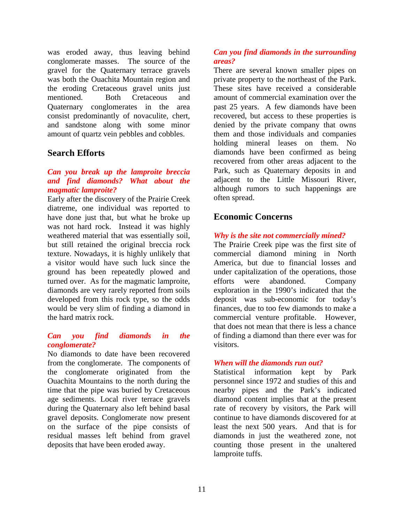was eroded away, thus leaving behind conglomerate masses. The source of the gravel for the Quaternary terrace gravels was both the Ouachita Mountain region and the eroding Cretaceous gravel units just mentioned. Both Cretaceous and Quaternary conglomerates in the area consist predominantly of novaculite, chert, and sandstone along with some minor amount of quartz vein pebbles and cobbles.

### **Search Efforts**

#### *Can you break up the lamproite breccia and find diamonds? What about the magmatic lamproite?*

Early after the discovery of the Prairie Creek diatreme, one individual was reported to have done just that, but what he broke up was not hard rock. Instead it was highly weathered material that was essentially soil, but still retained the original breccia rock texture. Nowadays, it is highly unlikely that a visitor would have such luck since the ground has been repeatedly plowed and turned over. As for the magmatic lamproite, diamonds are very rarely reported from soils developed from this rock type, so the odds would be very slim of finding a diamond in the hard matrix rock.

#### *Can you find diamonds in the conglomerate?*

No diamonds to date have been recovered from the conglomerate. The components of the conglomerate originated from the Ouachita Mountains to the north during the time that the pipe was buried by Cretaceous age sediments. Local river terrace gravels during the Quaternary also left behind basal gravel deposits. Conglomerate now present on the surface of the pipe consists of residual masses left behind from gravel deposits that have been eroded away.

#### *Can you find diamonds in the surrounding areas?*

There are several known smaller pipes on private property to the northeast of the Park. These sites have received a considerable amount of commercial examination over the past 25 years. A few diamonds have been recovered, but access to these properties is denied by the private company that owns them and those individuals and companies holding mineral leases on them. No diamonds have been confirmed as being recovered from other areas adjacent to the Park, such as Quaternary deposits in and adjacent to the Little Missouri River, although rumors to such happenings are often spread.

### **Economic Concerns**

#### *Why is the site not commercially mined?*

The Prairie Creek pipe was the first site of commercial diamond mining in North America, but due to financial losses and under capitalization of the operations, those efforts were abandoned. Company exploration in the 1990's indicated that the deposit was sub-economic for today's finances, due to too few diamonds to make a commercial venture profitable. However, that does not mean that there is less a chance of finding a diamond than there ever was for visitors.

#### *When will the diamonds run out?*

Statistical information kept by Park personnel since 1972 and studies of this and nearby pipes and the Park's indicated diamond content implies that at the present rate of recovery by visitors, the Park will continue to have diamonds discovered for at least the next 500 years. And that is for diamonds in just the weathered zone, not counting those present in the unaltered lamproite tuffs.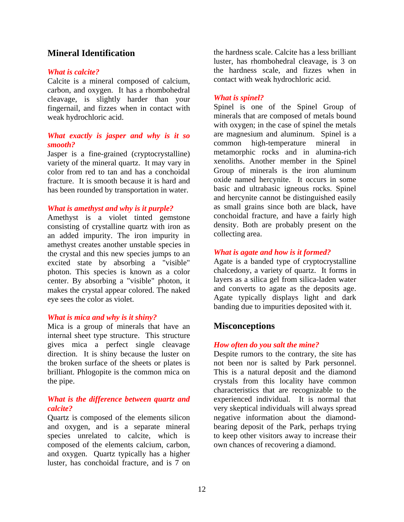### **Mineral Identification**

#### *What is calcite?*

Calcite is a mineral composed of calcium, carbon, and oxygen. It has a rhombohedral cleavage, is slightly harder than your fingernail, and fizzes when in contact with weak hydrochloric acid.

#### *What exactly is jasper and why is it so smooth?*

Jasper is a fine-grained (cryptocrystalline) variety of the mineral quartz. It may vary in color from red to tan and has a conchoidal fracture. It is smooth because it is hard and has been rounded by transportation in water.

#### *What is amethyst and why is it purple?*

Amethyst is a violet tinted gemstone consisting of crystalline quartz with iron as an added impurity. The iron impurity in amethyst creates another unstable species in the crystal and this new species jumps to an excited state by absorbing a "visible" photon. This species is known as a color center. By absorbing a "visible" photon, it makes the crystal appear colored. The naked eye sees the color as violet.

#### *What is mica and why is it shiny?*

Mica is a group of minerals that have an internal sheet type structure. This structure gives mica a perfect single cleavage direction. It is shiny because the luster on the broken surface of the sheets or plates is brilliant. Phlogopite is the common mica on the pipe.

#### *What is the difference between quartz and calcite?*

Quartz is composed of the elements silicon and oxygen, and is a separate mineral species unrelated to calcite, which is composed of the elements calcium, carbon, and oxygen. Quartz typically has a higher luster, has conchoidal fracture, and is 7 on

the hardness scale. Calcite has a less brilliant luster, has rhombohedral cleavage, is 3 on the hardness scale, and fizzes when in contact with weak hydrochloric acid.

#### *What is spinel?*

Spinel is one of the Spinel Group of minerals that are composed of metals bound with oxygen; in the case of spinel the metals are magnesium and aluminum. Spinel is a common high-temperature mineral in metamorphic rocks and in alumina-rich xenoliths. Another member in the Spinel Group of minerals is the iron aluminum oxide named hercynite. It occurs in some basic and ultrabasic igneous rocks. Spinel and hercynite cannot be distinguished easily as small grains since both are black, have conchoidal fracture, and have a fairly high density. Both are probably present on the collecting area.

#### *What is agate and how is it formed?*

Agate is a banded type of cryptocrystalline chalcedony, a variety of quartz. It forms in layers as a silica gel from silica-laden water and converts to agate as the deposits age. Agate typically displays light and dark banding due to impurities deposited with it.

### **Misconceptions**

#### *How often do you salt the mine?*

Despite rumors to the contrary, the site has not been nor is salted by Park personnel. This is a natural deposit and the diamond crystals from this locality have common characteristics that are recognizable to the experienced individual. It is normal that very skeptical individuals will always spread negative information about the diamondbearing deposit of the Park, perhaps trying to keep other visitors away to increase their own chances of recovering a diamond.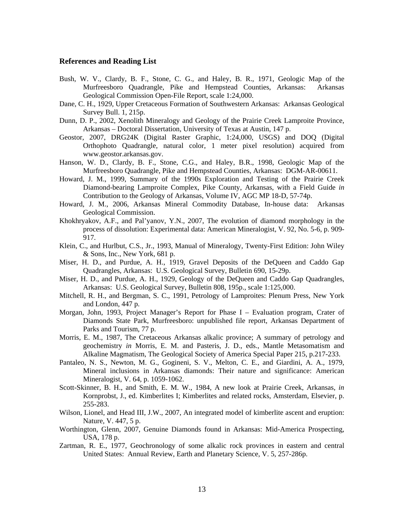#### **References and Reading List**

- Bush, W. V., Clardy, B. F., Stone, C. G., and Haley, B. R., 1971, Geologic Map of the Murfreesboro Quadrangle, Pike and Hempstead Counties, Arkansas: Arkansas Geological Commission Open-File Report, scale 1:24,000.
- Dane, C. H., 1929, Upper Cretaceous Formation of Southwestern Arkansas: Arkansas Geological Survey Bull. 1, 215p.
- Dunn, D. P., 2002, Xenolith Mineralogy and Geology of the Prairie Creek Lamproite Province, Arkansas – Doctoral Dissertation, University of Texas at Austin, 147 p.
- Geostor, 2007, DRG24K (Digital Raster Graphic, 1:24,000, USGS) and DOQ (Digital Orthophoto Quadrangle, natural color, 1 meter pixel resolution) acquired from www.geostor.arkansas.gov.
- Hanson, W. D., Clardy, B. F., Stone, C.G., and Haley, B.R., 1998, Geologic Map of the Murfreesboro Quadrangle, Pike and Hempstead Counties, Arkansas: DGM-AR-00611.
- Howard, J. M., 1999, Summary of the 1990s Exploration and Testing of the Prairie Creek Diamond-bearing Lamproite Complex, Pike County, Arkansas, with a Field Guide *in* Contribution to the Geology of Arkansas, Volume IV, AGC MP 18-D, 57-74p.
- Howard, J. M., 2006, Arkansas Mineral Commodity Database, In-house data: Arkansas Geological Commission.
- Khokhryakov, A.F., and Pal'yanov, Y.N., 2007, The evolution of diamond morphology in the process of dissolution: Experimental data: American Mineralogist, V. 92, No. 5-6, p. 909- 917.
- Klein, C., and Hurlbut, C.S., Jr., 1993, Manual of Mineralogy, Twenty-First Edition: John Wiley & Sons, Inc., New York, 681 p.
- Miser, H. D., and Purdue, A. H., 1919, Gravel Deposits of the DeQueen and Caddo Gap Quadrangles, Arkansas: U.S. Geological Survey, Bulletin 690, 15-29p.
- Miser, H. D., and Purdue, A. H., 1929, Geology of the DeQueen and Caddo Gap Quadrangles, Arkansas: U.S. Geological Survey, Bulletin 808, 195p., scale 1:125,000.
- Mitchell, R. H., and Bergman, S. C., 1991, Petrology of Lamproites: Plenum Press, New York and London, 447 p.
- Morgan, John, 1993, Project Manager's Report for Phase I Evaluation program, Crater of Diamonds State Park, Murfreesboro: unpublished file report, Arkansas Department of Parks and Tourism, 77 p.
- Morris, E. M., 1987, The Cretaceous Arkansas alkalic province; A summary of petrology and geochemistry *in* Morris, E. M. and Pasteris, J. D., eds., Mantle Metasomatism and Alkaline Magmatism, The Geological Society of America Special Paper 215, p.217-233.
- Pantaleo, N. S., Newton, M. G., Gogineni, S. V., Melton, C. E., and Giardini, A. A., 1979, Mineral inclusions in Arkansas diamonds: Their nature and significance: American Mineralogist, V. 64, p. 1059-1062.
- Scott-Skinner, B. H., and Smith, E. M. W., 1984, A new look at Prairie Creek, Arkansas, *in* Kornprobst, J., ed. Kimberlites I; Kimberlites and related rocks, Amsterdam, Elsevier, p. 255-283.
- Wilson, Lionel, and Head III, J.W., 2007, An integrated model of kimberlite ascent and eruption: Nature, V. 447, 5 p.
- Worthington, Glenn, 2007, Genuine Diamonds found in Arkansas: Mid-America Prospecting, USA, 178 p.
- Zartman, R. E., 1977, Geochronology of some alkalic rock provinces in eastern and central United States: Annual Review, Earth and Planetary Science, V. 5, 257-286p.